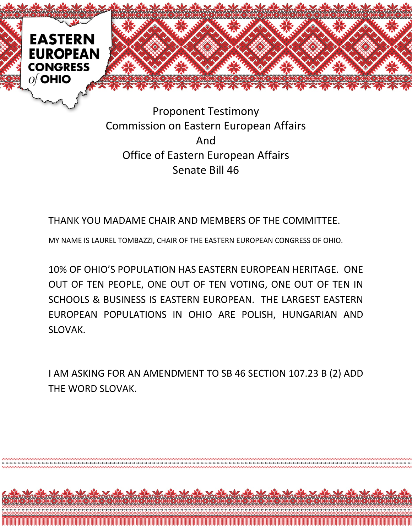

Proponent Testimony Commission on Eastern European Affairs And Office of Eastern European Affairs Senate Bill 46

THANK YOU MADAME CHAIR AND MEMBERS OF THE COMMITTEE.

MY NAME IS LAUREL TOMBAZZI, CHAIR OF THE EASTERN EUROPEAN CONGRESS OF OHIO.

10% OF OHIO'S POPULATION HAS EASTERN EUROPEAN HERITAGE. ONE OUT OF TEN PEOPLE, ONE OUT OF TEN VOTING, ONE OUT OF TEN IN SCHOOLS & BUSINESS IS EASTERN EUROPEAN. THE LARGEST EASTERN EUROPEAN POPULATIONS IN OHIO ARE POLISH, HUNGARIAN AND SLOVAK.

I AM ASKING FOR AN AMENDMENT TO SB 46 SECTION 107.23 B (2) ADD THE WORD SLOVAK.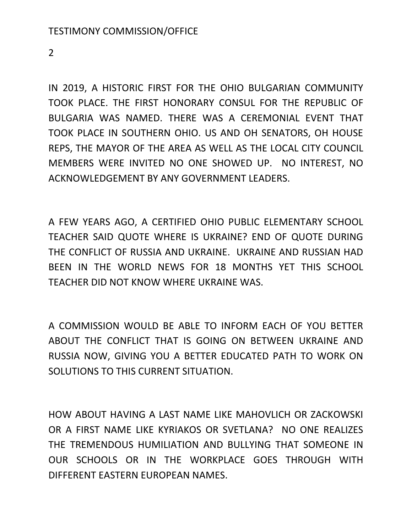2

IN 2019, A HISTORIC FIRST FOR THE OHIO BULGARIAN COMMUNITY TOOK PLACE. THE FIRST HONORARY CONSUL FOR THE REPUBLIC OF BULGARIA WAS NAMED. THERE WAS A CEREMONIAL EVENT THAT TOOK PLACE IN SOUTHERN OHIO. US AND OH SENATORS, OH HOUSE REPS, THE MAYOR OF THE AREA AS WELL AS THE LOCAL CITY COUNCIL MEMBERS WERE INVITED NO ONE SHOWED UP. NO INTEREST, NO ACKNOWLEDGEMENT BY ANY GOVERNMENT LEADERS.

A FEW YEARS AGO, A CERTIFIED OHIO PUBLIC ELEMENTARY SCHOOL TEACHER SAID QUOTE WHERE IS UKRAINE? END OF QUOTE DURING THE CONFLICT OF RUSSIA AND UKRAINE. UKRAINE AND RUSSIAN HAD BEEN IN THE WORLD NEWS FOR 18 MONTHS YET THIS SCHOOL TEACHER DID NOT KNOW WHERE UKRAINE WAS.

A COMMISSION WOULD BE ABLE TO INFORM EACH OF YOU BETTER ABOUT THE CONFLICT THAT IS GOING ON BETWEEN UKRAINE AND RUSSIA NOW, GIVING YOU A BETTER EDUCATED PATH TO WORK ON SOLUTIONS TO THIS CURRENT SITUATION.

HOW ABOUT HAVING A LAST NAME LIKE MAHOVLICH OR ZACKOWSKI OR A FIRST NAME LIKE KYRIAKOS OR SVETLANA? NO ONE REALIZES THE TREMENDOUS HUMILIATION AND BULLYING THAT SOMEONE IN OUR SCHOOLS OR IN THE WORKPLACE GOES THROUGH WITH DIFFERENT EASTERN EUROPEAN NAMES.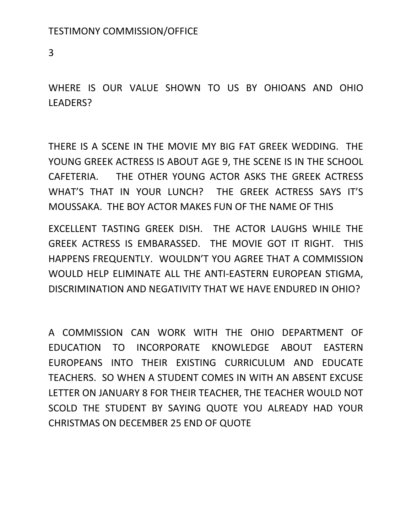3

WHERE IS OUR VALUE SHOWN TO US BY OHIOANS AND OHIO LEADERS?

THERE IS A SCENE IN THE MOVIE MY BIG FAT GREEK WEDDING. THE YOUNG GREEK ACTRESS IS ABOUT AGE 9, THE SCENE IS IN THE SCHOOL CAFETERIA. THE OTHER YOUNG ACTOR ASKS THE GREEK ACTRESS WHAT'S THAT IN YOUR LUNCH? THE GREEK ACTRESS SAYS IT'S MOUSSAKA. THE BOY ACTOR MAKES FUN OF THE NAME OF THIS

EXCELLENT TASTING GREEK DISH. THE ACTOR LAUGHS WHILE THE GREEK ACTRESS IS EMBARASSED. THE MOVIE GOT IT RIGHT. THIS HAPPENS FREQUENTLY. WOULDN'T YOU AGREE THAT A COMMISSION WOULD HELP ELIMINATE ALL THE ANTI-EASTERN EUROPEAN STIGMA, DISCRIMINATION AND NEGATIVITY THAT WE HAVE ENDURED IN OHIO?

A COMMISSION CAN WORK WITH THE OHIO DEPARTMENT OF EDUCATION TO INCORPORATE KNOWLEDGE ABOUT EASTERN EUROPEANS INTO THEIR EXISTING CURRICULUM AND EDUCATE TEACHERS. SO WHEN A STUDENT COMES IN WITH AN ABSENT EXCUSE LETTER ON JANUARY 8 FOR THEIR TEACHER, THE TEACHER WOULD NOT SCOLD THE STUDENT BY SAYING QUOTE YOU ALREADY HAD YOUR CHRISTMAS ON DECEMBER 25 END OF QUOTE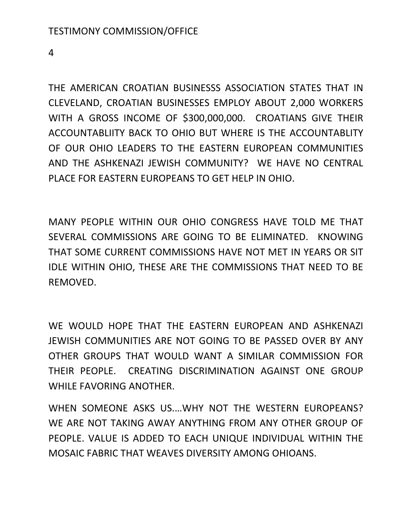4

THE AMERICAN CROATIAN BUSINESSS ASSOCIATION STATES THAT IN CLEVELAND, CROATIAN BUSINESSES EMPLOY ABOUT 2,000 WORKERS WITH A GROSS INCOME OF \$300,000,000. CROATIANS GIVE THEIR ACCOUNTABLIITY BACK TO OHIO BUT WHERE IS THE ACCOUNTABLITY OF OUR OHIO LEADERS TO THE EASTERN EUROPEAN COMMUNITIES AND THE ASHKENAZI JEWISH COMMUNITY? WE HAVE NO CENTRAL PLACE FOR EASTERN EUROPEANS TO GET HELP IN OHIO.

MANY PEOPLE WITHIN OUR OHIO CONGRESS HAVE TOLD ME THAT SEVERAL COMMISSIONS ARE GOING TO BE ELIMINATED. KNOWING THAT SOME CURRENT COMMISSIONS HAVE NOT MET IN YEARS OR SIT IDLE WITHIN OHIO, THESE ARE THE COMMISSIONS THAT NEED TO BE REMOVED.

WE WOULD HOPE THAT THE EASTERN EUROPEAN AND ASHKENAZI JEWISH COMMUNITIES ARE NOT GOING TO BE PASSED OVER BY ANY OTHER GROUPS THAT WOULD WANT A SIMILAR COMMISSION FOR THEIR PEOPLE. CREATING DISCRIMINATION AGAINST ONE GROUP WHILE FAVORING ANOTHER.

WHEN SOMEONE ASKS US.…WHY NOT THE WESTERN EUROPEANS? WE ARE NOT TAKING AWAY ANYTHING FROM ANY OTHER GROUP OF PEOPLE. VALUE IS ADDED TO EACH UNIQUE INDIVIDUAL WITHIN THE MOSAIC FABRIC THAT WEAVES DIVERSITY AMONG OHIOANS.